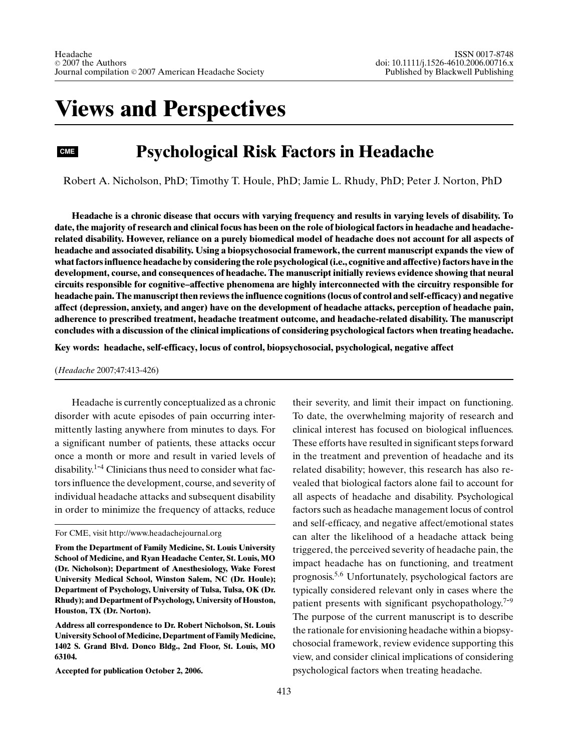# **Views and Perspectives**

## **CME Psychological Risk Factors in Headache**

Robert A. Nicholson, PhD; Timothy T. Houle, PhD; Jamie L. Rhudy, PhD; Peter J. Norton, PhD

**Headache is a chronic disease that occurs with varying frequency and results in varying levels of disability. To date, the majority of research and clinical focus has been on the role of biological factors in headache and headacherelated disability. However, reliance on a purely biomedical model of headache does not account for all aspects of headache and associated disability. Using a biopsychosocial framework, the current manuscript expands the view of what factors influence headache by considering the role psychological (i.e., cognitive and affective) factors have in the development, course, and consequences of headache. The manuscript initially reviews evidence showing that neural circuits responsible for cognitive–affective phenomena are highly interconnected with the circuitry responsible for headache pain. The manuscript then reviews the influence cognitions (locus of control and self-efficacy) and negative affect (depression, anxiety, and anger) have on the development of headache attacks, perception of headache pain, adherence to prescribed treatment, headache treatment outcome, and headache-related disability. The manuscript concludes with a discussion of the clinical implications of considering psychological factors when treating headache.**

**Key words: headache, self-efficacy, locus of control, biopsychosocial, psychological, negative affect**

(*Headache* 2007;47:413-426)

Headache is currently conceptualized as a chronic disorder with acute episodes of pain occurring intermittently lasting anywhere from minutes to days. For a significant number of patients, these attacks occur once a month or more and result in varied levels of disability.<sup>1-4</sup> Clinicians thus need to consider what factors influence the development, course, and severity of individual headache attacks and subsequent disability in order to minimize the frequency of attacks, reduce

their severity, and limit their impact on functioning. To date, the overwhelming majority of research and clinical interest has focused on biological influences. These efforts have resulted in significant steps forward in the treatment and prevention of headache and its related disability; however, this research has also revealed that biological factors alone fail to account for all aspects of headache and disability. Psychological factors such as headache management locus of control and self-efficacy, and negative affect/emotional states can alter the likelihood of a headache attack being triggered, the perceived severity of headache pain, the impact headache has on functioning, and treatment prognosis.<sup>5</sup>,<sup>6</sup> Unfortunately, psychological factors are typically considered relevant only in cases where the patient presents with significant psychopathology.<sup>7-9</sup> The purpose of the current manuscript is to describe the rationale for envisioning headache within a biopsychosocial framework, review evidence supporting this view, and consider clinical implications of considering psychological factors when treating headache.

For CME, visit http://www.headachejournal.org

**From the Department of Family Medicine, St. Louis University School of Medicine, and Ryan Headache Center, St. Louis, MO (Dr. Nicholson); Department of Anesthesiology, Wake Forest University Medical School, Winston Salem, NC (Dr. Houle); Department of Psychology, University of Tulsa, Tulsa, OK (Dr. Rhudy); and Department of Psychology, University of Houston, Houston, TX (Dr. Norton).**

**Address all correspondence to Dr. Robert Nicholson, St. Louis University School of Medicine, Department of Family Medicine, 1402 S. Grand Blvd. Donco Bldg., 2nd Floor, St. Louis, MO 63104.**

**Accepted for publication October 2, 2006.**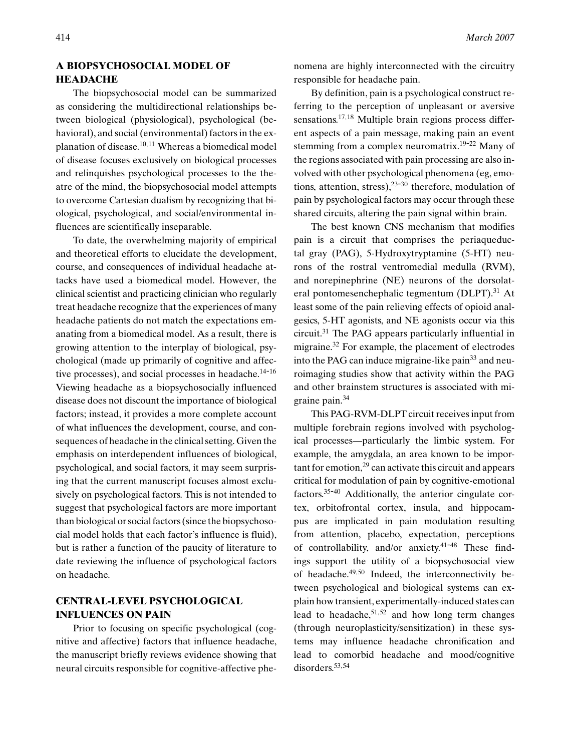### **A BIOPSYCHOSOCIAL MODEL OF HEADACHE**

The biopsychosocial model can be summarized as considering the multidirectional relationships between biological (physiological), psychological (behavioral), and social (environmental) factors in the explanation of disease.<sup>10</sup>,<sup>11</sup> Whereas a biomedical model of disease focuses exclusively on biological processes and relinquishes psychological processes to the theatre of the mind, the biopsychosocial model attempts to overcome Cartesian dualism by recognizing that biological, psychological, and social/environmental influences are scientifically inseparable.

To date, the overwhelming majority of empirical and theoretical efforts to elucidate the development, course, and consequences of individual headache attacks have used a biomedical model. However, the clinical scientist and practicing clinician who regularly treat headache recognize that the experiences of many headache patients do not match the expectations emanating from a biomedical model. As a result, there is growing attention to the interplay of biological, psychological (made up primarily of cognitive and affective processes), and social processes in headache. $14-16$ Viewing headache as a biopsychosocially influenced disease does not discount the importance of biological factors; instead, it provides a more complete account of what influences the development, course, and consequences of headache in the clinical setting. Given the emphasis on interdependent influences of biological, psychological, and social factors, it may seem surprising that the current manuscript focuses almost exclusively on psychological factors. This is not intended to suggest that psychological factors are more important than biological or social factors (since the biopsychosocial model holds that each factor's influence is fluid), but is rather a function of the paucity of literature to date reviewing the influence of psychological factors on headache.

### **CENTRAL-LEVEL PSYCHOLOGICAL INFLUENCES ON PAIN**

Prior to focusing on specific psychological (cognitive and affective) factors that influence headache, the manuscript briefly reviews evidence showing that neural circuits responsible for cognitive-affective phenomena are highly interconnected with the circuitry responsible for headache pain.

By definition, pain is a psychological construct referring to the perception of unpleasant or aversive sensations.<sup>17,18</sup> Multiple brain regions process different aspects of a pain message, making pain an event stemming from a complex neuromatrix.19-22 Many of the regions associated with pain processing are also involved with other psychological phenomena (eg, emotions, attention, stress), $23-30$  therefore, modulation of pain by psychological factors may occur through these shared circuits, altering the pain signal within brain.

The best known CNS mechanism that modifies pain is a circuit that comprises the periaqueductal gray (PAG), 5-Hydroxytryptamine (5-HT) neurons of the rostral ventromedial medulla (RVM), and norepinephrine (NE) neurons of the dorsolateral pontomesenchephalic tegmentum (DLPT).<sup>31</sup> At least some of the pain relieving effects of opioid analgesics, 5-HT agonists, and NE agonists occur via this circuit. $31$  The PAG appears particularly influential in migraine.<sup>32</sup> For example, the placement of electrodes into the PAG can induce migraine-like pain<sup>33</sup> and neuroimaging studies show that activity within the PAG and other brainstem structures is associated with migraine pain.<sup>34</sup>

This PAG-RVM-DLPT circuit receives input from multiple forebrain regions involved with psychological processes—particularly the limbic system. For example, the amygdala, an area known to be impor- $\tan$  for emotion,  $2<sup>9</sup>$  can activate this circuit and appears critical for modulation of pain by cognitive-emotional factors.35-40 Additionally, the anterior cingulate cortex, orbitofrontal cortex, insula, and hippocampus are implicated in pain modulation resulting from attention, placebo, expectation, perceptions of controllability, and/or anxiety.41-48 These findings support the utility of a biopsychosocial view of headache.49,<sup>50</sup> Indeed, the interconnectivity between psychological and biological systems can explain how transient, experimentally-induced states can lead to headache,  $51,52$  and how long term changes (through neuroplasticity/sensitization) in these systems may influence headache chronification and lead to comorbid headache and mood/cognitive disorders.53,54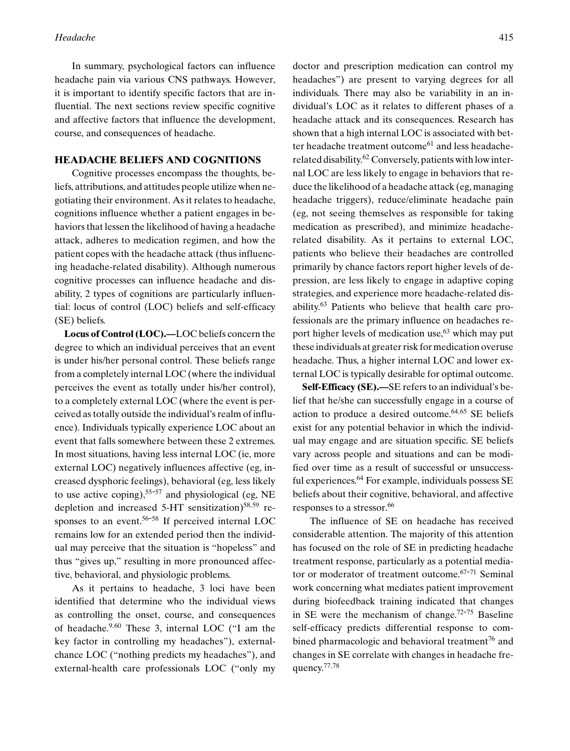#### *Headache* 415

In summary, psychological factors can influence headache pain via various CNS pathways. However, it is important to identify specific factors that are influential. The next sections review specific cognitive and affective factors that influence the development, course, and consequences of headache.

#### **HEADACHE BELIEFS AND COGNITIONS**

Cognitive processes encompass the thoughts, beliefs, attributions, and attitudes people utilize when negotiating their environment. As it relates to headache, cognitions influence whether a patient engages in behaviors that lessen the likelihood of having a headache attack, adheres to medication regimen, and how the patient copes with the headache attack (thus influencing headache-related disability). Although numerous cognitive processes can influence headache and disability, 2 types of cognitions are particularly influential: locus of control (LOC) beliefs and self-efficacy (SE) beliefs.

**Locus of Control (LOC).—**LOC beliefs concern the degree to which an individual perceives that an event is under his/her personal control. These beliefs range from a completely internal LOC (where the individual perceives the event as totally under his/her control), to a completely external LOC (where the event is perceived as totally outside the individual's realm of influence). Individuals typically experience LOC about an event that falls somewhere between these 2 extremes. In most situations, having less internal LOC (ie, more external LOC) negatively influences affective (eg, increased dysphoric feelings), behavioral (eg, less likely to use active coping),<sup>55-57</sup> and physiological (eg, NE depletion and increased  $5-HT$  sensitization)<sup>58,59</sup> responses to an event.<sup>56-58</sup> If perceived internal LOC remains low for an extended period then the individual may perceive that the situation is "hopeless" and thus "gives up," resulting in more pronounced affective, behavioral, and physiologic problems.

As it pertains to headache, 3 loci have been identified that determine who the individual views as controlling the onset, course, and consequences of headache.<sup>9,60</sup> These 3, internal LOC ("I am the key factor in controlling my headaches"), externalchance LOC ("nothing predicts my headaches"), and external-health care professionals LOC ("only my doctor and prescription medication can control my headaches") are present to varying degrees for all individuals. There may also be variability in an individual's LOC as it relates to different phases of a headache attack and its consequences. Research has shown that a high internal LOC is associated with better headache treatment outcome<sup>61</sup> and less headacherelated disability.62 Conversely, patients with low internal LOC are less likely to engage in behaviors that reduce the likelihood of a headache attack (eg, managing headache triggers), reduce/eliminate headache pain (eg, not seeing themselves as responsible for taking medication as prescribed), and minimize headacherelated disability. As it pertains to external LOC, patients who believe their headaches are controlled primarily by chance factors report higher levels of depression, are less likely to engage in adaptive coping strategies, and experience more headache-related disability.63 Patients who believe that health care professionals are the primary influence on headaches report higher levels of medication use,  $63$  which may put these individuals at greater risk for medication overuse headache. Thus, a higher internal LOC and lower external LOC is typically desirable for optimal outcome.

**Self-Efficacy (SE).—**SE refers to an individual's belief that he/she can successfully engage in a course of action to produce a desired outcome.<sup>64,65</sup> SE beliefs exist for any potential behavior in which the individual may engage and are situation specific. SE beliefs vary across people and situations and can be modified over time as a result of successful or unsuccessful experiences.<sup>64</sup> For example, individuals possess SE beliefs about their cognitive, behavioral, and affective responses to a stressor.<sup>66</sup>

The influence of SE on headache has received considerable attention. The majority of this attention has focused on the role of SE in predicting headache treatment response, particularly as a potential mediator or moderator of treatment outcome.<sup>67-71</sup> Seminal work concerning what mediates patient improvement during biofeedback training indicated that changes in SE were the mechanism of change.<sup>72-75</sup> Baseline self-efficacy predicts differential response to combined pharmacologic and behavioral treatment<sup>76</sup> and changes in SE correlate with changes in headache frequency.77,78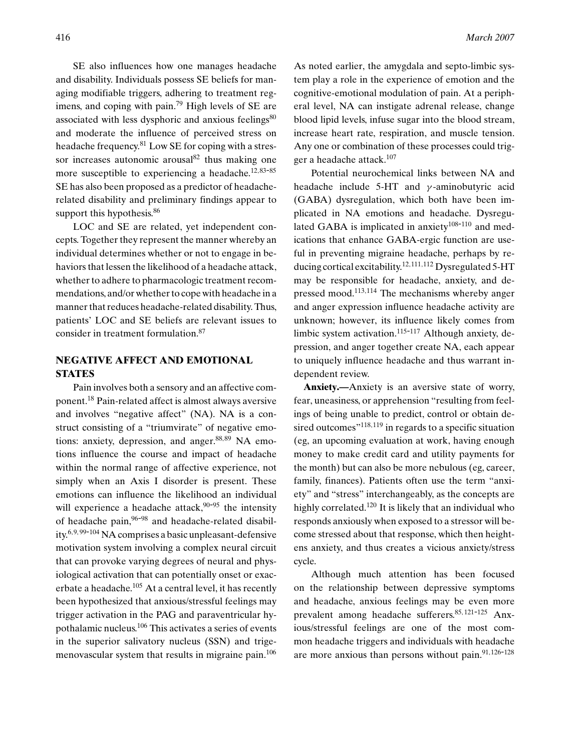SE also influences how one manages headache and disability. Individuals possess SE beliefs for managing modifiable triggers, adhering to treatment regimens, and coping with pain.<sup>79</sup> High levels of SE are associated with less dysphoric and anxious feelings $80$ and moderate the influence of perceived stress on headache frequency.<sup>81</sup> Low SE for coping with a stressor increases autonomic arousal<sup>82</sup> thus making one more susceptible to experiencing a headache.<sup>12,83-85</sup> SE has also been proposed as a predictor of headacherelated disability and preliminary findings appear to support this hypothesis.<sup>86</sup>

LOC and SE are related, yet independent concepts. Together they represent the manner whereby an individual determines whether or not to engage in behaviors that lessen the likelihood of a headache attack, whether to adhere to pharmacologic treatment recommendations, and/or whether to cope with headache in a manner that reduces headache-related disability. Thus, patients' LOC and SE beliefs are relevant issues to consider in treatment formulation.<sup>87</sup>

#### **NEGATIVE AFFECT AND EMOTIONAL STATES**

Pain involves both a sensory and an affective component.<sup>18</sup> Pain-related affect is almost always aversive and involves "negative affect" (NA). NA is a construct consisting of a "triumvirate" of negative emotions: anxiety, depression, and anger. $88,89$  NA emotions influence the course and impact of headache within the normal range of affective experience, not simply when an Axis I disorder is present. These emotions can influence the likelihood an individual will experience a headache attack,  $90-95$  the intensity of headache pain,96-98 and headache-related disability.6,9,99-104 NA comprises a basic unpleasant-defensive motivation system involving a complex neural circuit that can provoke varying degrees of neural and physiological activation that can potentially onset or exacerbate a headache.<sup>105</sup> At a central level, it has recently been hypothesized that anxious/stressful feelings may trigger activation in the PAG and paraventricular hypothalamic nucleus.106 This activates a series of events in the superior salivatory nucleus (SSN) and trigemenovascular system that results in migraine pain.<sup>106</sup>

As noted earlier, the amygdala and septo-limbic system play a role in the experience of emotion and the cognitive-emotional modulation of pain. At a peripheral level, NA can instigate adrenal release, change blood lipid levels, infuse sugar into the blood stream, increase heart rate, respiration, and muscle tension. Any one or combination of these processes could trigger a headache attack.<sup>107</sup>

Potential neurochemical links between NA and headache include 5-HT and  $\gamma$ -aminobutyric acid (GABA) dysregulation, which both have been implicated in NA emotions and headache. Dysregulated GABA is implicated in anxiety<sup>108-110</sup> and medications that enhance GABA-ergic function are useful in preventing migraine headache, perhaps by reducing cortical excitability.12,111,<sup>112</sup> Dysregulated 5-HT may be responsible for headache, anxiety, and depressed mood.113,<sup>114</sup> The mechanisms whereby anger and anger expression influence headache activity are unknown; however, its influence likely comes from limbic system activation.<sup>115-117</sup> Although anxiety, depression, and anger together create NA, each appear to uniquely influence headache and thus warrant independent review.

**Anxiety.—**Anxiety is an aversive state of worry, fear, uneasiness, or apprehension "resulting from feelings of being unable to predict, control or obtain desired outcomes"<sup>118,119</sup> in regards to a specific situation (eg, an upcoming evaluation at work, having enough money to make credit card and utility payments for the month) but can also be more nebulous (eg, career, family, finances). Patients often use the term "anxiety" and "stress" interchangeably, as the concepts are highly correlated.<sup>120</sup> It is likely that an individual who responds anxiously when exposed to a stressor will become stressed about that response, which then heightens anxiety, and thus creates a vicious anxiety/stress cycle.

Although much attention has been focused on the relationship between depressive symptoms and headache, anxious feelings may be even more prevalent among headache sufferers.<sup>85</sup>,121-125 Anxious/stressful feelings are one of the most common headache triggers and individuals with headache are more anxious than persons without pain.<sup>91,126-128</sup>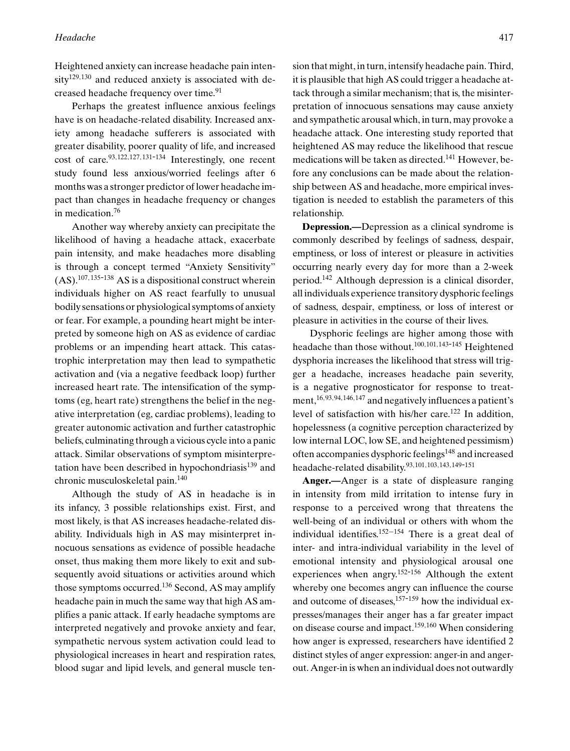#### *Headache* 417

Heightened anxiety can increase headache pain inten $sity^{129,130}$  and reduced anxiety is associated with decreased headache frequency over time.<sup>91</sup>

Perhaps the greatest influence anxious feelings have is on headache-related disability. Increased anxiety among headache sufferers is associated with greater disability, poorer quality of life, and increased cost of care.  $93,122,127,131-134$  Interestingly, one recent study found less anxious/worried feelings after 6 months was a stronger predictor of lower headache impact than changes in headache frequency or changes in medication.76

Another way whereby anxiety can precipitate the likelihood of having a headache attack, exacerbate pain intensity, and make headaches more disabling is through a concept termed "Anxiety Sensitivity"  $(AS)$ .<sup>107, 135-138</sup> AS is a dispositional construct wherein individuals higher on AS react fearfully to unusual bodily sensations or physiological symptoms of anxiety or fear. For example, a pounding heart might be interpreted by someone high on AS as evidence of cardiac problems or an impending heart attack. This catastrophic interpretation may then lead to sympathetic activation and (via a negative feedback loop) further increased heart rate. The intensification of the symptoms (eg, heart rate) strengthens the belief in the negative interpretation (eg, cardiac problems), leading to greater autonomic activation and further catastrophic beliefs, culminating through a vicious cycle into a panic attack. Similar observations of symptom misinterpretation have been described in hypochondriasis $139$  and chronic musculoskeletal pain.140

Although the study of AS in headache is in its infancy, 3 possible relationships exist. First, and most likely, is that AS increases headache-related disability. Individuals high in AS may misinterpret innocuous sensations as evidence of possible headache onset, thus making them more likely to exit and subsequently avoid situations or activities around which those symptoms occurred.<sup>136</sup> Second, AS may amplify headache pain in much the same way that high AS amplifies a panic attack. If early headache symptoms are interpreted negatively and provoke anxiety and fear, sympathetic nervous system activation could lead to physiological increases in heart and respiration rates, blood sugar and lipid levels, and general muscle tension that might, in turn, intensify headache pain. Third, it is plausible that high AS could trigger a headache attack through a similar mechanism; that is, the misinterpretation of innocuous sensations may cause anxiety and sympathetic arousal which, in turn, may provoke a headache attack. One interesting study reported that heightened AS may reduce the likelihood that rescue medications will be taken as directed.<sup>141</sup> However, before any conclusions can be made about the relationship between AS and headache, more empirical investigation is needed to establish the parameters of this relationship.

**Depression.—**Depression as a clinical syndrome is commonly described by feelings of sadness, despair, emptiness, or loss of interest or pleasure in activities occurring nearly every day for more than a 2-week period.142 Although depression is a clinical disorder, all individuals experience transitory dysphoric feelings of sadness, despair, emptiness, or loss of interest or pleasure in activities in the course of their lives.

Dysphoric feelings are higher among those with headache than those without.<sup>100,101,143-145</sup> Heightened dysphoria increases the likelihood that stress will trigger a headache, increases headache pain severity, is a negative prognosticator for response to treatment,16,93,94,146,<sup>147</sup> and negatively influences a patient's level of satisfaction with his/her care.<sup>122</sup> In addition, hopelessness (a cognitive perception characterized by low internal LOC, low SE, and heightened pessimism) often accompanies dysphoric feelings<sup>148</sup> and increased headache-related disability.93,101,103,143,149-151

**Anger.—**Anger is a state of displeasure ranging in intensity from mild irritation to intense fury in response to a perceived wrong that threatens the well-being of an individual or others with whom the individual identifies.<sup>152</sup>−<sup>154</sup> There is a great deal of inter- and intra-individual variability in the level of emotional intensity and physiological arousal one experiences when angry.152-156 Although the extent whereby one becomes angry can influence the course and outcome of diseases,<sup>157-159</sup> how the individual expresses/manages their anger has a far greater impact on disease course and impact.159,<sup>160</sup> When considering how anger is expressed, researchers have identified 2 distinct styles of anger expression: anger-in and angerout. Anger-in is when an individual does not outwardly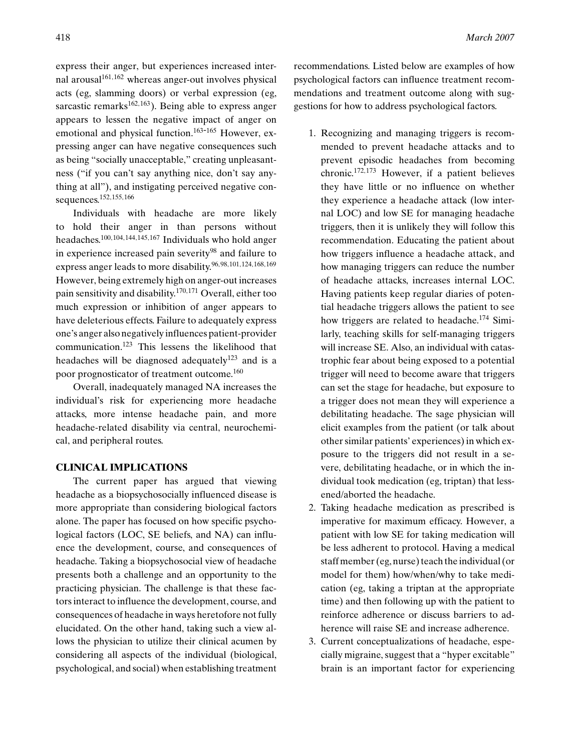express their anger, but experiences increased internal arousal $161,162$  whereas anger-out involves physical acts (eg, slamming doors) or verbal expression (eg, sarcastic remarks $162,163$ ). Being able to express anger appears to lessen the negative impact of anger on emotional and physical function.<sup>163-165</sup> However, expressing anger can have negative consequences such as being "socially unacceptable," creating unpleasantness ("if you can't say anything nice, don't say anything at all"), and instigating perceived negative consequences.152,155,<sup>166</sup>

Individuals with headache are more likely to hold their anger in than persons without headaches.<sup>100</sup>,104,144,145,<sup>167</sup> Individuals who hold anger in experience increased pain severity<sup>98</sup> and failure to express anger leads to more disability.96,98,101,124,168,<sup>169</sup> However, being extremely high on anger-out increases pain sensitivity and disability.<sup>170</sup>,<sup>171</sup> Overall, either too much expression or inhibition of anger appears to have deleterious effects. Failure to adequately express one's anger also negatively influences patient-provider communication.123 This lessens the likelihood that headaches will be diagnosed adequately<sup>123</sup> and is a poor prognosticator of treatment outcome.160

Overall, inadequately managed NA increases the individual's risk for experiencing more headache attacks, more intense headache pain, and more headache-related disability via central, neurochemical, and peripheral routes.

#### **CLINICAL IMPLICATIONS**

The current paper has argued that viewing headache as a biopsychosocially influenced disease is more appropriate than considering biological factors alone. The paper has focused on how specific psychological factors (LOC, SE beliefs, and NA) can influence the development, course, and consequences of headache. Taking a biopsychosocial view of headache presents both a challenge and an opportunity to the practicing physician. The challenge is that these factors interact to influence the development, course, and consequences of headache in ways heretofore not fully elucidated. On the other hand, taking such a view allows the physician to utilize their clinical acumen by considering all aspects of the individual (biological, psychological, and social) when establishing treatment recommendations. Listed below are examples of how psychological factors can influence treatment recommendations and treatment outcome along with suggestions for how to address psychological factors.

- 1. Recognizing and managing triggers is recommended to prevent headache attacks and to prevent episodic headaches from becoming chronic.<sup>172</sup>,<sup>173</sup> However, if a patient believes they have little or no influence on whether they experience a headache attack (low internal LOC) and low SE for managing headache triggers, then it is unlikely they will follow this recommendation. Educating the patient about how triggers influence a headache attack, and how managing triggers can reduce the number of headache attacks, increases internal LOC. Having patients keep regular diaries of potential headache triggers allows the patient to see how triggers are related to headache.<sup>174</sup> Similarly, teaching skills for self-managing triggers will increase SE. Also, an individual with catastrophic fear about being exposed to a potential trigger will need to become aware that triggers can set the stage for headache, but exposure to a trigger does not mean they will experience a debilitating headache. The sage physician will elicit examples from the patient (or talk about other similar patients' experiences) in which exposure to the triggers did not result in a severe, debilitating headache, or in which the individual took medication (eg, triptan) that lessened/aborted the headache.
- 2. Taking headache medication as prescribed is imperative for maximum efficacy. However, a patient with low SE for taking medication will be less adherent to protocol. Having a medical staff member (eg, nurse) teach the individual (or model for them) how/when/why to take medication (eg, taking a triptan at the appropriate time) and then following up with the patient to reinforce adherence or discuss barriers to adherence will raise SE and increase adherence.
- 3. Current conceptualizations of headache, especially migraine, suggest that a "hyper excitable" brain is an important factor for experiencing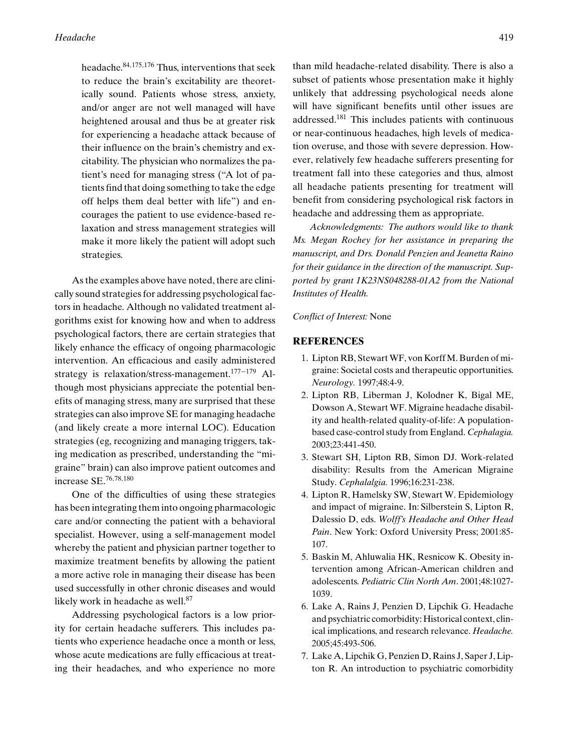headache.<sup>84</sup>,175,<sup>176</sup> Thus, interventions that seek to reduce the brain's excitability are theoretically sound. Patients whose stress, anxiety, and/or anger are not well managed will have heightened arousal and thus be at greater risk for experiencing a headache attack because of their influence on the brain's chemistry and excitability. The physician who normalizes the patient's need for managing stress ("A lot of patients find that doing something to take the edge off helps them deal better with life") and encourages the patient to use evidence-based relaxation and stress management strategies will make it more likely the patient will adopt such strategies.

As the examples above have noted, there are clinically sound strategies for addressing psychological factors in headache. Although no validated treatment algorithms exist for knowing how and when to address psychological factors, there are certain strategies that likely enhance the efficacy of ongoing pharmacologic intervention. An efficacious and easily administered strategy is relaxation/stress-management.<sup>177−179</sup> Although most physicians appreciate the potential benefits of managing stress, many are surprised that these strategies can also improve SE for managing headache (and likely create a more internal LOC). Education strategies (eg, recognizing and managing triggers, taking medication as prescribed, understanding the "migraine" brain) can also improve patient outcomes and increase SE.76,78,<sup>180</sup>

One of the difficulties of using these strategies has been integrating them into ongoing pharmacologic care and/or connecting the patient with a behavioral specialist. However, using a self-management model whereby the patient and physician partner together to maximize treatment benefits by allowing the patient a more active role in managing their disease has been used successfully in other chronic diseases and would likely work in headache as well.<sup>87</sup>

Addressing psychological factors is a low priority for certain headache sufferers. This includes patients who experience headache once a month or less, whose acute medications are fully efficacious at treating their headaches, and who experience no more than mild headache-related disability. There is also a subset of patients whose presentation make it highly unlikely that addressing psychological needs alone will have significant benefits until other issues are addressed.<sup>181</sup> This includes patients with continuous or near-continuous headaches, high levels of medication overuse, and those with severe depression. However, relatively few headache sufferers presenting for treatment fall into these categories and thus, almost all headache patients presenting for treatment will benefit from considering psychological risk factors in headache and addressing them as appropriate.

*Acknowledgments: The authors would like to thank Ms. Megan Rochey for her assistance in preparing the manuscript, and Drs. Donald Penzien and Jeanetta Raino for their guidance in the direction of the manuscript. Supported by grant 1K23NS048288-01A2 from the National Institutes of Health.*

#### *Conflict of Interest:* None

#### **REFERENCES**

- 1. Lipton RB, Stewart WF, von Korff M. Burden of migraine: Societal costs and therapeutic opportunities. *Neurology.* 1997;48:4-9.
- 2. Lipton RB, Liberman J, Kolodner K, Bigal ME, Dowson A, Stewart WF. Migraine headache disability and health-related quality-of-life: A populationbased case-control study from England. *Cephalagia.* 2003;23:441-450.
- 3. Stewart SH, Lipton RB, Simon DJ. Work-related disability: Results from the American Migraine Study. *Cephalalgia.* 1996;16:231-238.
- 4. Lipton R, Hamelsky SW, Stewart W. Epidemiology and impact of migraine. In: Silberstein S, Lipton R, Dalessio D, eds. *Wolff's Headache and Other Head Pain*. New York: Oxford University Press; 2001:85- 107.
- 5. Baskin M, Ahluwalia HK, Resnicow K. Obesity intervention among African-American children and adolescents. *Pediatric Clin North Am*. 2001;48:1027- 1039.
- 6. Lake A, Rains J, Penzien D, Lipchik G. Headache and psychiatric comorbidity: Historical context, clinical implications, and research relevance. *Headache.* 2005;45:493-506.
- 7. Lake A, Lipchik G, Penzien D, Rains J, Saper J, Lipton R. An introduction to psychiatric comorbidity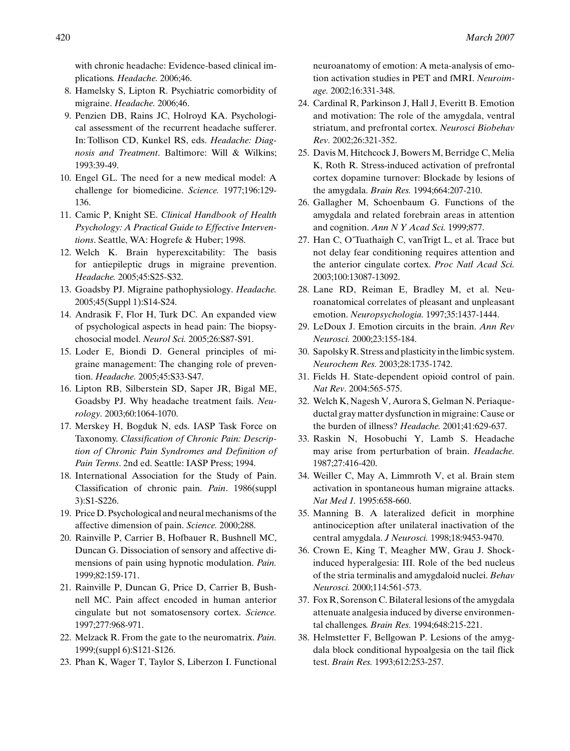with chronic headache: Evidence-based clinical implications. *Headache.* 2006;46.

- 8. Hamelsky S, Lipton R. Psychiatric comorbidity of migraine. *Headache.* 2006;46.
- 9. Penzien DB, Rains JC, Holroyd KA. Psychological assessment of the recurrent headache sufferer. In: Tollison CD, Kunkel RS, eds. *Headache: Diagnosis and Treatment*. Baltimore: Will & Wilkins; 1993:39-49.
- 10. Engel GL. The need for a new medical model: A challenge for biomedicine. *Science.* 1977;196:129- 136.
- 11. Camic P, Knight SE. *Clinical Handbook of Health Psychology: A Practical Guide to Effective Interventions*. Seattle, WA: Hogrefe & Huber; 1998.
- 12. Welch K. Brain hyperexcitability: The basis for antiepileptic drugs in migraine prevention. *Headache.* 2005;45:S25*-*S32.
- 13. Goadsby PJ. Migraine pathophysiology. *Headache.* 2005;45(Suppl 1):S14*-*S24.
- 14. Andrasik F, Flor H, Turk DC. An expanded view of psychological aspects in head pain: The biopsychosocial model. *Neurol Sci.* 2005;26:S87*-*S91.
- 15. Loder E, Biondi D. General principles of migraine management: The changing role of prevention. *Headache.* 2005;45:S33*-*S47.
- 16. Lipton RB, Silberstein SD, Saper JR, Bigal ME, Goadsby PJ. Why headache treatment fails. *Neurology.* 2003;60:1064-1070.
- 17. Merskey H, Bogduk N, eds. IASP Task Force on Taxonomy. *Classification of Chronic Pain: Description of Chronic Pain Syndromes and Definition of Pain Terms*. 2nd ed. Seattle: IASP Press; 1994.
- 18. International Association for the Study of Pain. Classification of chronic pain. *Pain*. 1986(suppl 3):S1-S226.
- 19. Price D. Psychological and neural mechanisms of the affective dimension of pain. *Science.* 2000;288.
- 20. Rainville P, Carrier B, Hofbauer R, Bushnell MC, Duncan G. Dissociation of sensory and affective dimensions of pain using hypnotic modulation. *Pain.* 1999;82:159-171.
- 21. Rainville P, Duncan G, Price D, Carrier B, Bushnell MC. Pain affect encoded in human anterior cingulate but not somatosensory cortex. *Science.* 1997;277:968-971.
- 22. Melzack R. From the gate to the neuromatrix. *Pain.* 1999;(suppl 6):S121-S126.
- 23. Phan K, Wager T, Taylor S, Liberzon I. Functional

neuroanatomy of emotion: A meta-analysis of emotion activation studies in PET and fMRI. *Neuroimage.* 2002;16:331-348.

- 24. Cardinal R, Parkinson J, Hall J, Everitt B. Emotion and motivation: The role of the amygdala, ventral striatum, and prefrontal cortex. *Neurosci Biobehav Rev.* 2002;26:321-352.
- 25. Davis M, Hitchcock J, Bowers M, Berridge C, Melia K, Roth R. Stress-induced activation of prefrontal cortex dopamine turnover: Blockade by lesions of the amygdala. *Brain Res.* 1994;664:207-210.
- 26. Gallagher M, Schoenbaum G. Functions of the amygdala and related forebrain areas in attention and cognition. *Ann N Y Acad Sci.* 1999;877.
- 27. Han C, O'Tuathaigh C, vanTrigt L, et al. Trace but not delay fear conditioning requires attention and the anterior cingulate cortex. *Proc Natl Acad Sci.* 2003;100:13087-13092.
- 28. Lane RD, Reiman E, Bradley M, et al. Neuroanatomical correlates of pleasant and unpleasant emotion. *Neuropsychologia.* 1997;35:1437-1444.
- 29. LeDoux J. Emotion circuits in the brain. *Ann Rev Neurosci.* 2000;23:155-184.
- 30. Sapolsky R. Stress and plasticity in the limbic system. *Neurochem Res.* 2003;28:1735-1742.
- 31. Fields H. State-dependent opioid control of pain. *Nat Rev.* 2004:565-575.
- 32. Welch K, Nagesh V, Aurora S, Gelman N. Periaqueductal gray matter dysfunction in migraine: Cause or the burden of illness? *Headache.* 2001;41:629-637.
- 33. Raskin N, Hosobuchi Y, Lamb S. Headache may arise from perturbation of brain. *Headache.* 1987;27:416-420.
- 34. Weiller C, May A, Limmroth V, et al. Brain stem activation in spontaneous human migraine attacks. *Nat Med 1.* 1995:658-660.
- 35. Manning B. A lateralized deficit in morphine antinociception after unilateral inactivation of the central amygdala. *J Neurosci.* 1998;18:9453-9470.
- 36. Crown E, King T, Meagher MW, Grau J. Shockinduced hyperalgesia: III. Role of the bed nucleus of the stria terminalis and amygdaloid nuclei. *Behav Neurosci.* 2000;114:561-573.
- 37. Fox R, Sorenson C. Bilateral lesions of the amygdala attenuate analgesia induced by diverse environmental challenges. *Brain Res.* 1994;648:215-221.
- 38. Helmstetter F, Bellgowan P. Lesions of the amygdala block conditional hypoalgesia on the tail flick test. *Brain Res.* 1993;612:253-257.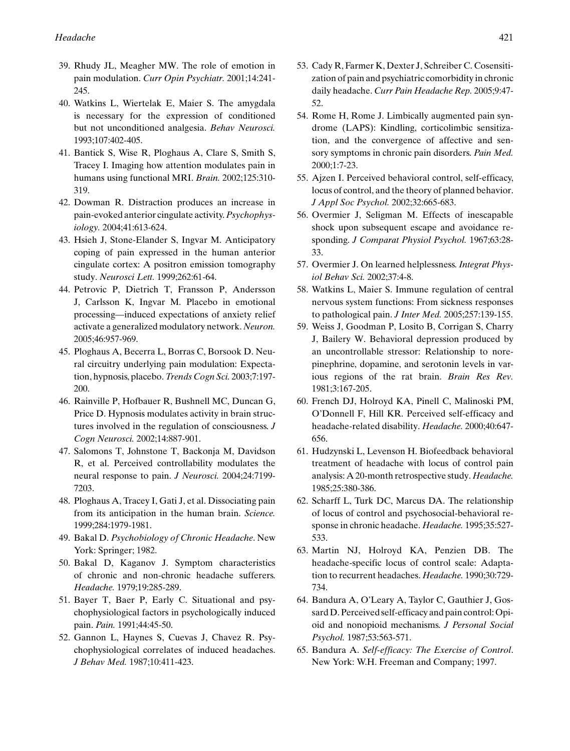- 39. Rhudy JL, Meagher MW. The role of emotion in pain modulation. *Curr Opin Psychiatr.* 2001;14:241- 245.
- 40. Watkins L, Wiertelak E, Maier S. The amygdala is necessary for the expression of conditioned but not unconditioned analgesia. *Behav Neurosci.* 1993;107:402-405.
- 41. Bantick S, Wise R, Ploghaus A, Clare S, Smith S, Tracey I. Imaging how attention modulates pain in humans using functional MRI. *Brain.* 2002;125:310- 319.
- 42. Dowman R. Distraction produces an increase in pain-evoked anterior cingulate activity.*Psychophysiology.* 2004;41:613-624.
- 43. Hsieh J, Stone-Elander S, Ingvar M. Anticipatory coping of pain expressed in the human anterior cingulate cortex: A positron emission tomography study. *Neurosci Lett.* 1999;262:61-64.
- 44. Petrovic P, Dietrich T, Fransson P, Andersson J, Carlsson K, Ingvar M. Placebo in emotional processing—induced expectations of anxiety relief activate a generalized modulatory network. *Neuron.* 2005;46:957-969.
- 45. Ploghaus A, Becerra L, Borras C, Borsook D. Neural circuitry underlying pain modulation: Expectation, hypnosis, placebo.*Trends Cogn Sci.* 2003;7:197- 200.
- 46. Rainville P, Hofbauer R, Bushnell MC, Duncan G, Price D. Hypnosis modulates activity in brain structures involved in the regulation of consciousness. *J Cogn Neurosci.* 2002;14:887-901.
- 47. Salomons T, Johnstone T, Backonja M, Davidson R, et al. Perceived controllability modulates the neural response to pain. *J Neurosci.* 2004;24:7199- 7203.
- 48. Ploghaus A, Tracey I, Gati J, et al. Dissociating pain from its anticipation in the human brain. *Science.* 1999;284:1979-1981.
- 49. Bakal D. *Psychobiology of Chronic Headache*. New York: Springer; 1982.
- 50. Bakal D, Kaganov J. Symptom characteristics of chronic and non-chronic headache sufferers. *Headache.* 1979;19:285-289.
- 51. Bayer T, Baer P, Early C. Situational and psychophysiological factors in psychologically induced pain. *Pain.* 1991;44:45-50.
- 52. Gannon L, Haynes S, Cuevas J, Chavez R. Psychophysiological correlates of induced headaches. *J Behav Med.* 1987;10:411-423.
- 53. Cady R, Farmer K, Dexter J, Schreiber C. Cosensitization of pain and psychiatric comorbidity in chronic daily headache. *Curr Pain Headache Rep.* 2005;9:47- 52.
- 54. Rome H, Rome J. Limbically augmented pain syndrome (LAPS): Kindling, corticolimbic sensitization, and the convergence of affective and sensory symptoms in chronic pain disorders. *Pain Med.* 2000;1:7-23.
- 55. Ajzen I. Perceived behavioral control, self-efficacy, locus of control, and the theory of planned behavior. *J Appl Soc Psychol.* 2002;32:665-683.
- 56. Overmier J, Seligman M. Effects of inescapable shock upon subsequent escape and avoidance responding. *J Comparat Physiol Psychol.* 1967;63:28- 33.
- 57. Overmier J. On learned helplessness. *Integrat Physiol Behav Sci.* 2002;37:4-8.
- 58. Watkins L, Maier S. Immune regulation of central nervous system functions: From sickness responses to pathological pain. *J Inter Med.* 2005;257:139-155.
- 59. Weiss J, Goodman P, Losito B, Corrigan S, Charry J, Bailery W. Behavioral depression produced by an uncontrollable stressor: Relationship to norepinephrine, dopamine, and serotonin levels in various regions of the rat brain. *Brain Res Rev.* 1981;3:167-205.
- 60. French DJ, Holroyd KA, Pinell C, Malinoski PM, O'Donnell F, Hill KR. Perceived self-efficacy and headache-related disability. *Headache.* 2000;40:647- 656.
- 61. Hudzynski L, Levenson H. Biofeedback behavioral treatment of headache with locus of control pain analysis: A 20-month retrospective study. *Headache.* 1985;25:380-386.
- 62. Scharff L, Turk DC, Marcus DA. The relationship of locus of control and psychosocial-behavioral response in chronic headache. *Headache.* 1995;35:527- 533.
- 63. Martin NJ, Holroyd KA, Penzien DB. The headache-specific locus of control scale: Adaptation to recurrent headaches. *Headache.* 1990;30:729- 734.
- 64. Bandura A, O'Leary A, Taylor C, Gauthier J, Gossard D. Perceived self-efficacy and pain control: Opioid and nonopioid mechanisms. *J Personal Social Psychol.* 1987;53:563-571.
- 65. Bandura A. *Self-efficacy: The Exercise of Control*. New York: W.H. Freeman and Company; 1997.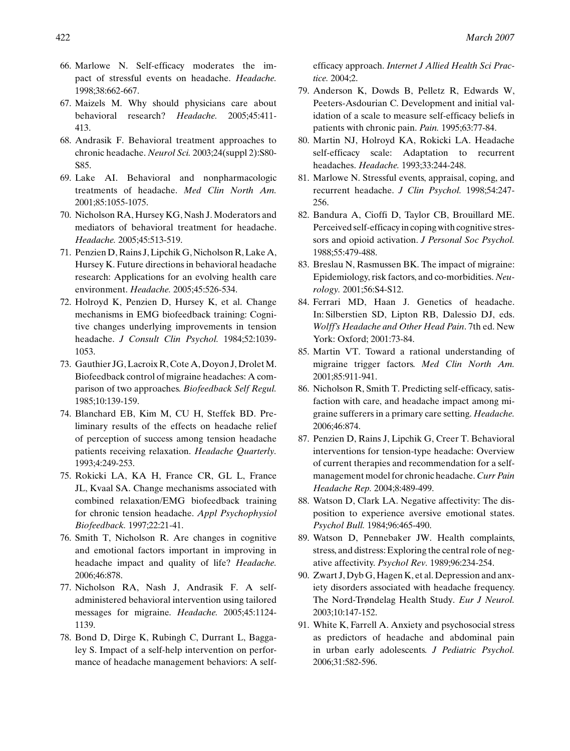- 66. Marlowe N. Self-efficacy moderates the impact of stressful events on headache. *Headache.* 1998;38:662-667.
- 67. Maizels M. Why should physicians care about behavioral research? *Headache.* 2005;45:411- 413.
- 68. Andrasik F. Behavioral treatment approaches to chronic headache. *Neurol Sci.* 2003;24(suppl 2):S80- S85.
- 69. Lake AI. Behavioral and nonpharmacologic treatments of headache. *Med Clin North Am.* 2001;85:1055-1075.
- 70. Nicholson RA, Hursey KG, Nash J. Moderators and mediators of behavioral treatment for headache. *Headache.* 2005;45:513-519.
- 71. Penzien D, Rains J, Lipchik G, Nicholson R, Lake A, Hursey K. Future directions in behavioral headache research: Applications for an evolving health care environment. *Headache.* 2005;45:526-534.
- 72. Holroyd K, Penzien D, Hursey K, et al. Change mechanisms in EMG biofeedback training: Cognitive changes underlying improvements in tension headache. *J Consult Clin Psychol.* 1984;52:1039- 1053.
- 73. Gauthier JG, Lacroix R, Cote A, Doyon J, Drolet M. Biofeedback control of migraine headaches: A comparison of two approaches. *Biofeedback Self Regul.* 1985;10:139-159.
- 74. Blanchard EB, Kim M, CU H, Steffek BD. Preliminary results of the effects on headache relief of perception of success among tension headache patients receiving relaxation. *Headache Quarterly.* 1993;4:249-253.
- 75. Rokicki LA, KA H, France CR, GL L, France JL, Kvaal SA. Change mechanisms associated with combined relaxation/EMG biofeedback training for chronic tension headache. *Appl Psychophysiol Biofeedback.* 1997;22:21-41.
- 76. Smith T, Nicholson R. Are changes in cognitive and emotional factors important in improving in headache impact and quality of life? *Headache.* 2006;46:878.
- 77. Nicholson RA, Nash J, Andrasik F. A selfadministered behavioral intervention using tailored messages for migraine. *Headache.* 2005;45:1124- 1139.
- 78. Bond D, Dirge K, Rubingh C, Durrant L, Baggaley S. Impact of a self-help intervention on performance of headache management behaviors: A self-

efficacy approach. *Internet J Allied Health Sci Practice.* 2004;2.

- 79. Anderson K, Dowds B, Pelletz R, Edwards W, Peeters-Asdourian C. Development and initial validation of a scale to measure self-efficacy beliefs in patients with chronic pain. *Pain.* 1995;63:77-84.
- 80. Martin NJ, Holroyd KA, Rokicki LA. Headache self-efficacy scale: Adaptation to recurrent headaches. *Headache.* 1993;33:244-248.
- 81. Marlowe N. Stressful events, appraisal, coping, and recurrent headache. *J Clin Psychol.* 1998;54:247- 256.
- 82. Bandura A, Cioffi D, Taylor CB, Brouillard ME. Perceived self-efficacy in coping with cognitive stressors and opioid activation. *J Personal Soc Psychol.* 1988;55:479-488.
- 83. Breslau N, Rasmussen BK. The impact of migraine: Epidemiology, risk factors, and co-morbidities. *Neurology.* 2001;56:S4-S12.
- 84. Ferrari MD, Haan J. Genetics of headache. In: Silberstien SD, Lipton RB, Dalessio DJ, eds. *Wolff's Headache and Other Head Pain*. 7th ed. New York: Oxford; 2001:73-84.
- 85. Martin VT. Toward a rational understanding of migraine trigger factors. *Med Clin North Am.* 2001;85:911-941.
- 86. Nicholson R, Smith T. Predicting self-efficacy, satisfaction with care, and headache impact among migraine sufferers in a primary care setting. *Headache.* 2006;46:874.
- 87. Penzien D, Rains J, Lipchik G, Creer T. Behavioral interventions for tension-type headache: Overview of current therapies and recommendation for a selfmanagement model for chronic headache. *Curr Pain Headache Rep.* 2004;8:489-499.
- 88. Watson D, Clark LA. Negative affectivity: The disposition to experience aversive emotional states. *Psychol Bull.* 1984;96:465-490.
- 89. Watson D, Pennebaker JW. Health complaints, stress, and distress: Exploring the central role of negative affectivity. *Psychol Rev.* 1989;96:234-254.
- 90. Zwart J, Dyb G, Hagen K, et al. Depression and anxiety disorders associated with headache frequency. The Nord-Trøndelag Health Study. *Eur J Neurol.* 2003;10:147-152.
- 91. White K, Farrell A. Anxiety and psychosocial stress as predictors of headache and abdominal pain in urban early adolescents. *J Pediatric Psychol.* 2006;31:582-596.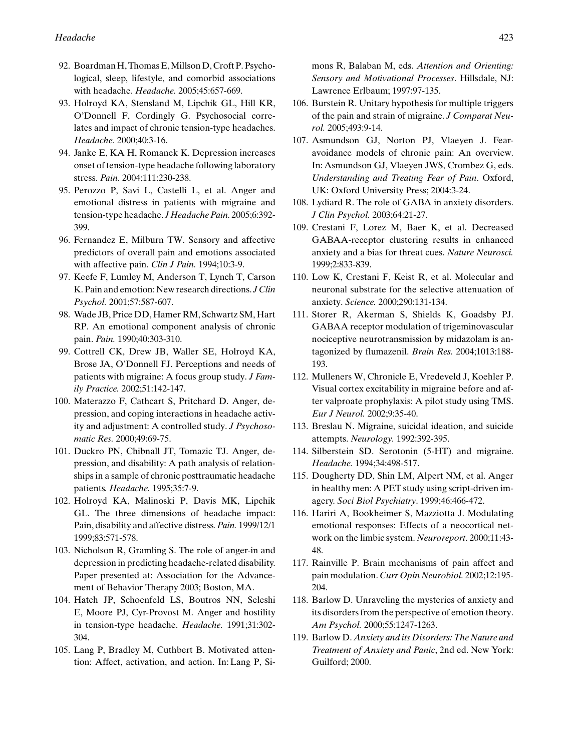- 92. Boardman H, Thomas E, Millson D, Croft P. Psychological, sleep, lifestyle, and comorbid associations with headache. *Headache.* 2005;45:657-669.
- 93. Holroyd KA, Stensland M, Lipchik GL, Hill KR, O'Donnell F, Cordingly G. Psychosocial correlates and impact of chronic tension-type headaches. *Headache.* 2000;40:3-16.
- 94. Janke E, KA H, Romanek K. Depression increases onset of tension-type headache following laboratory stress. *Pain.* 2004;111:230-238.
- 95. Perozzo P, Savi L, Castelli L, et al. Anger and emotional distress in patients with migraine and tension-type headache. *J Headache Pain.* 2005;6:392- 399.
- 96. Fernandez E, Milburn TW. Sensory and affective predictors of overall pain and emotions associated with affective pain. *Clin J Pain.* 1994;10:3-9.
- 97. Keefe F, Lumley M, Anderson T, Lynch T, Carson K. Pain and emotion: New research directions. *J Clin Psychol.* 2001;57:587-607.
- 98. Wade JB, Price DD, Hamer RM, Schwartz SM, Hart RP. An emotional component analysis of chronic pain. *Pain.* 1990;40:303-310.
- 99. Cottrell CK, Drew JB, Waller SE, Holroyd KA, Brose JA, O'Donnell FJ. Perceptions and needs of patients with migraine: A focus group study. *J Family Practice.* 2002;51:142-147.
- 100. Materazzo F, Cathcart S, Pritchard D. Anger, depression, and coping interactions in headache activity and adjustment: A controlled study. *J Psychosomatic Res.* 2000;49:69-75.
- 101. Duckro PN, Chibnall JT, Tomazic TJ. Anger, depression, and disability: A path analysis of relationships in a sample of chronic posttraumatic headache patients. *Headache.* 1995;35:7-9.
- 102. Holroyd KA, Malinoski P, Davis MK, Lipchik GL. The three dimensions of headache impact: Pain, disability and affective distress. *Pain.* 1999/12/1 1999;83:571-578.
- 103. Nicholson R, Gramling S. The role of anger-in and depression in predicting headache-related disability. Paper presented at: Association for the Advancement of Behavior Therapy 2003; Boston, MA.
- 104. Hatch JP, Schoenfeld LS, Boutros NN, Seleshi E, Moore PJ, Cyr-Provost M. Anger and hostility in tension-type headache. *Headache.* 1991;31:302- 304.
- 105. Lang P, Bradley M, Cuthbert B. Motivated attention: Affect, activation, and action. In: Lang P, Si-

mons R, Balaban M, eds. *Attention and Orienting: Sensory and Motivational Processes*. Hillsdale, NJ: Lawrence Erlbaum; 1997:97-135.

- 106. Burstein R. Unitary hypothesis for multiple triggers of the pain and strain of migraine. *J Comparat Neurol.* 2005;493:9-14.
- 107. Asmundson GJ, Norton PJ, Vlaeyen J. Fearavoidance models of chronic pain: An overview. In: Asmundson GJ, Vlaeyen JWS, Crombez G, eds. *Understanding and Treating Fear of Pain*. Oxford, UK: Oxford University Press; 2004:3-24.
- 108. Lydiard R. The role of GABA in anxiety disorders. *J Clin Psychol.* 2003;64:21-27.
- 109. Crestani F, Lorez M, Baer K, et al. Decreased GABAA-receptor clustering results in enhanced anxiety and a bias for threat cues. *Nature Neurosci.* 1999;2:833-839.
- 110. Low K, Crestani F, Keist R, et al. Molecular and neuronal substrate for the selective attenuation of anxiety. *Science.* 2000;290:131-134.
- 111. Storer R, Akerman S, Shields K, Goadsby PJ. GABAA receptor modulation of trigeminovascular nociceptive neurotransmission by midazolam is antagonized by flumazenil. *Brain Res.* 2004;1013:188- 193.
- 112. Mulleners W, Chronicle E, Vredeveld J, Koehler P. Visual cortex excitability in migraine before and after valproate prophylaxis: A pilot study using TMS. *Eur J Neurol.* 2002;9:35-40.
- 113. Breslau N. Migraine, suicidal ideation, and suicide attempts. *Neurology.* 1992:392-395.
- 114. Silberstein SD. Serotonin (5-HT) and migraine. *Headache.* 1994;34:498-517.
- 115. Dougherty DD, Shin LM, Alpert NM, et al. Anger in healthy men: A PET study using script-driven imagery. *Soci Biol Psychiatry*. 1999;46:466-472.
- 116. Hariri A, Bookheimer S, Mazziotta J. Modulating emotional responses: Effects of a neocortical network on the limbic system. *Neuroreport*. 2000;11:43- 48.
- 117. Rainville P. Brain mechanisms of pain affect and pain modulation. *Curr Opin Neurobiol.* 2002;12:195- 204.
- 118. Barlow D. Unraveling the mysteries of anxiety and its disorders from the perspective of emotion theory. *Am Psychol.* 2000;55:1247-1263.
- 119. Barlow D. *Anxiety and its Disorders: The Nature and Treatment of Anxiety and Panic*, 2nd ed. New York: Guilford; 2000.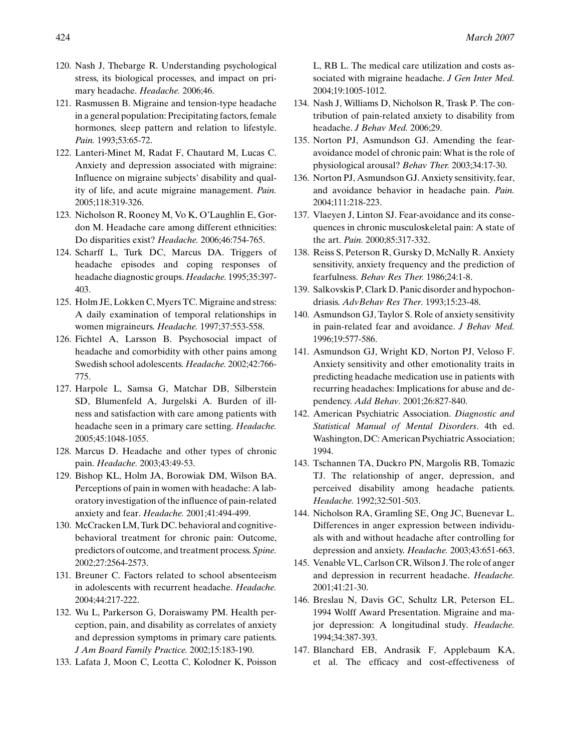- 120. Nash J, Thebarge R. Understanding psychological stress, its biological processes, and impact on primary headache. *Headache.* 2006;46.
- 121. Rasmussen B. Migraine and tension-type headache in a general population: Precipitating factors, female hormones, sleep pattern and relation to lifestyle. *Pain.* 1993;53:65-72.
- 122. Lanteri-Minet M, Radat F, Chautard M, Lucas C. Anxiety and depression associated with migraine: Influence on migraine subjects' disability and quality of life, and acute migraine management. *Pain.* 2005;118:319-326.
- 123. Nicholson R, Rooney M, Vo K, O'Laughlin E, Gordon M. Headache care among different ethnicities: Do disparities exist? *Headache.* 2006;46:754-765.
- 124. Scharff L, Turk DC, Marcus DA. Triggers of headache episodes and coping responses of headache diagnostic groups. *Headache.* 1995;35:397- 403.
- 125. Holm JE, Lokken C, Myers TC. Migraine and stress: A daily examination of temporal relationships in women migraineurs. *Headache.* 1997;37:553-558.
- 126. Fichtel A, Larsson B. Psychosocial impact of headache and comorbidity with other pains among Swedish school adolescents. *Headache.* 2002;42:766- 775.
- 127. Harpole L, Samsa G, Matchar DB, Silberstein SD, Blumenfeld A, Jurgelski A. Burden of illness and satisfaction with care among patients with headache seen in a primary care setting. *Headache.* 2005;45:1048-1055.
- 128. Marcus D. Headache and other types of chronic pain. *Headache.* 2003;43:49-53.
- 129. Bishop KL, Holm JA, Borowiak DM, Wilson BA. Perceptions of pain in women with headache: A laboratory investigation of the influence of pain-related anxiety and fear. *Headache.* 2001;41:494-499.
- 130. McCracken LM, Turk DC. behavioral and cognitivebehavioral treatment for chronic pain: Outcome, predictors of outcome, and treatment process. *Spine.* 2002;27:2564-2573.
- 131. Breuner C. Factors related to school absenteeism in adolescents with recurrent headache. *Headache.* 2004;44:217-222.
- 132. Wu L, Parkerson G, Doraiswamy PM. Health perception, pain, and disability as correlates of anxiety and depression symptoms in primary care patients. *J Am Board Family Practice.* 2002;15:183-190.
- 133. Lafata J, Moon C, Leotta C, Kolodner K, Poisson

L, RB L. The medical care utilization and costs associated with migraine headache. *J Gen Inter Med.* 2004;19:1005-1012.

- 134. Nash J, Williams D, Nicholson R, Trask P. The contribution of pain-related anxiety to disability from headache. *J Behav Med.* 2006;29.
- 135. Norton PJ, Asmundson GJ. Amending the fearavoidance model of chronic pain: What is the role of physiological arousal? *Behav Ther.* 2003;34:17-30.
- 136. Norton PJ, Asmundson GJ. Anxiety sensitivity, fear, and avoidance behavior in headache pain. *Pain.* 2004;111:218-223.
- 137. Vlaeyen J, Linton SJ. Fear-avoidance and its consequences in chronic musculoskeletal pain: A state of the art. *Pain.* 2000;85:317-332.
- 138. Reiss S, Peterson R, Gursky D, McNally R. Anxiety sensitivity, anxiety frequency and the prediction of fearfulness. *Behav Res Ther.* 1986;24:1-8.
- 139. Salkovskis P, Clark D. Panic disorder and hypochondriasis. *AdvBehav Res Ther.* 1993;15:23-48.
- 140. Asmundson GJ, Taylor S. Role of anxiety sensitivity in pain-related fear and avoidance. *J Behav Med.* 1996;19:577-586.
- 141. Asmundson GJ, Wright KD, Norton PJ, Veloso F. Anxiety sensitivity and other emotionality traits in predicting headache medication use in patients with recurring headaches: Implications for abuse and dependency. *Add Behav.* 2001;26:827-840.
- 142. American Psychiatric Association. *Diagnostic and Statistical Manual of Mental Disorders*. 4th ed. Washington, DC: American Psychiatric Association; 1994.
- 143. Tschannen TA, Duckro PN, Margolis RB, Tomazic TJ. The relationship of anger, depression, and perceived disability among headache patients. *Headache.* 1992;32:501-503.
- 144. Nicholson RA, Gramling SE, Ong JC, Buenevar L. Differences in anger expression between individuals with and without headache after controlling for depression and anxiety. *Headache.* 2003;43:651-663.
- 145. Venable VL, Carlson CR, Wilson J. The role of anger and depression in recurrent headache. *Headache.* 2001;41:21-30.
- 146. Breslau N, Davis GC, Schultz LR, Peterson EL. 1994 Wolff Award Presentation. Migraine and major depression: A longitudinal study. *Headache.* 1994;34:387-393.
- 147. Blanchard EB, Andrasik F, Applebaum KA, et al. The efficacy and cost-effectiveness of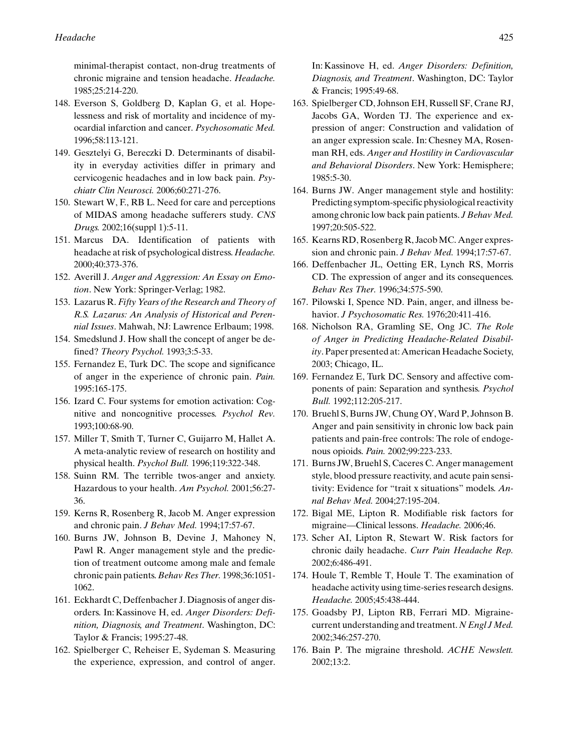minimal-therapist contact, non-drug treatments of chronic migraine and tension headache. *Headache.* 1985;25:214-220.

- 148. Everson S, Goldberg D, Kaplan G, et al. Hopelessness and risk of mortality and incidence of myocardial infarction and cancer. *Psychosomatic Med.* 1996;58:113-121.
- 149. Gesztelyi G, Bereczki D. Determinants of disability in everyday activities differ in primary and cervicogenic headaches and in low back pain. *Psychiatr Clin Neurosci.* 2006;60:271-276.
- 150. Stewart W, F., RB L. Need for care and perceptions of MIDAS among headache sufferers study. *CNS Drugs.* 2002;16(suppl 1):5-11.
- 151. Marcus DA. Identification of patients with headache at risk of psychological distress. *Headache.* 2000;40:373-376.
- 152. Averill J. *Anger and Aggression: An Essay on Emotion*. New York: Springer-Verlag; 1982.
- 153. Lazarus R. *Fifty Years of the Research and Theory of R.S. Lazarus: An Analysis of Historical and Perennial Issues*. Mahwah, NJ: Lawrence Erlbaum; 1998.
- 154. Smedslund J. How shall the concept of anger be defined? *Theory Psychol.* 1993;3:5-33.
- 155. Fernandez E, Turk DC. The scope and significance of anger in the experience of chronic pain. *Pain.* 1995:165-175.
- 156. Izard C. Four systems for emotion activation: Cognitive and noncognitive processes. *Psychol Rev.* 1993;100:68-90.
- 157. Miller T, Smith T, Turner C, Guijarro M, Hallet A. A meta-analytic review of research on hostility and physical health. *Psychol Bull.* 1996;119:322-348.
- 158. Suinn RM. The terrible twos-anger and anxiety. Hazardous to your health. *Am Psychol.* 2001;56:27- 36.
- 159. Kerns R, Rosenberg R, Jacob M. Anger expression and chronic pain. *J Behav Med.* 1994;17:57-67.
- 160. Burns JW, Johnson B, Devine J, Mahoney N, Pawl R. Anger management style and the prediction of treatment outcome among male and female chronic pain patients. *Behav Res Ther.* 1998;36:1051- 1062.
- 161. Eckhardt C, Deffenbacher J. Diagnosis of anger disorders. In: Kassinove H, ed. *Anger Disorders: Definition, Diagnosis, and Treatment*. Washington, DC: Taylor & Francis; 1995:27-48.
- 162. Spielberger C, Reheiser E, Sydeman S. Measuring the experience, expression, and control of anger.

In: Kassinove H, ed. *Anger Disorders: Definition, Diagnosis, and Treatment*. Washington, DC: Taylor & Francis; 1995:49-68.

- 163. Spielberger CD, Johnson EH, Russell SF, Crane RJ, Jacobs GA, Worden TJ. The experience and expression of anger: Construction and validation of an anger expression scale. In: Chesney MA, Rosenman RH, eds. *Anger and Hostility in Cardiovascular and Behavioral Disorders*. New York: Hemisphere; 1985:5-30.
- 164. Burns JW. Anger management style and hostility: Predicting symptom-specific physiological reactivity among chronic low back pain patients. *J Behav Med.* 1997;20:505-522.
- 165. Kearns RD, Rosenberg R, Jacob MC. Anger expression and chronic pain. *J Behav Med.* 1994;17:57-67.
- 166. Deffenbacher JL, Oetting ER, Lynch RS, Morris CD. The expression of anger and its consequences. *Behav Res Ther.* 1996;34:575-590.
- 167. Pilowski I, Spence ND. Pain, anger, and illness behavior. *J Psychosomatic Res.* 1976;20:411-416.
- 168. Nicholson RA, Gramling SE, Ong JC. *The Role of Anger in Predicting Headache-Related Disability*. Paper presented at: American Headache Society, 2003; Chicago, IL.
- 169. Fernandez E, Turk DC. Sensory and affective components of pain: Separation and synthesis. *Psychol Bull.* 1992;112:205-217.
- 170. Bruehl S, Burns JW, Chung OY, Ward P, Johnson B. Anger and pain sensitivity in chronic low back pain patients and pain-free controls: The role of endogenous opioids. *Pain.* 2002;99:223-233.
- 171. Burns JW, Bruehl S, Caceres C. Anger management style, blood pressure reactivity, and acute pain sensitivity: Evidence for "trait x situations" models. *Annal Behav Med.* 2004;27:195-204.
- 172. Bigal ME, Lipton R. Modifiable risk factors for migraine—Clinical lessons. *Headache.* 2006;46.
- 173. Scher AI, Lipton R, Stewart W. Risk factors for chronic daily headache. *Curr Pain Headache Rep.* 2002;6:486-491.
- 174. Houle T, Remble T, Houle T. The examination of headache activity using time-series research designs. *Headache.* 2005;45:438-444.
- 175. Goadsby PJ, Lipton RB, Ferrari MD. Migrainecurrent understanding and treatment. *N Engl J Med.* 2002;346:257-270.
- 176. Bain P. The migraine threshold. *ACHE Newslett.* 2002;13:2.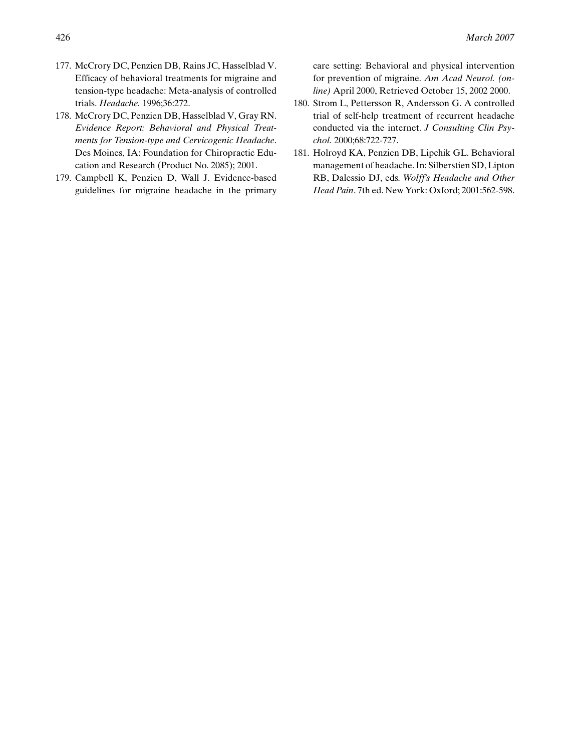- 177. McCrory DC, Penzien DB, Rains JC, Hasselblad V. Efficacy of behavioral treatments for migraine and tension-type headache: Meta-analysis of controlled trials. *Headache.* 1996;36:272.
- 178. McCrory DC, Penzien DB, Hasselblad V, Gray RN. *Evidence Report: Behavioral and Physical Treatments for Tension-type and Cervicogenic Headache*. Des Moines, IA: Foundation for Chiropractic Education and Research (Product No. 2085); 2001.
- 179. Campbell K, Penzien D, Wall J. Evidence-based guidelines for migraine headache in the primary

care setting: Behavioral and physical intervention for prevention of migraine. *Am Acad Neurol. (online)* April 2000, Retrieved October 15, 2002 2000.

- 180. Strom L, Pettersson R, Andersson G. A controlled trial of self-help treatment of recurrent headache conducted via the internet. *J Consulting Clin Psychol.* 2000;68:722-727.
- 181. Holroyd KA, Penzien DB, Lipchik GL. Behavioral management of headache. In: Silberstien SD, Lipton RB, Dalessio DJ, eds. *Wolff's Headache and Other Head Pain*. 7th ed. New York: Oxford; 2001:562-598.